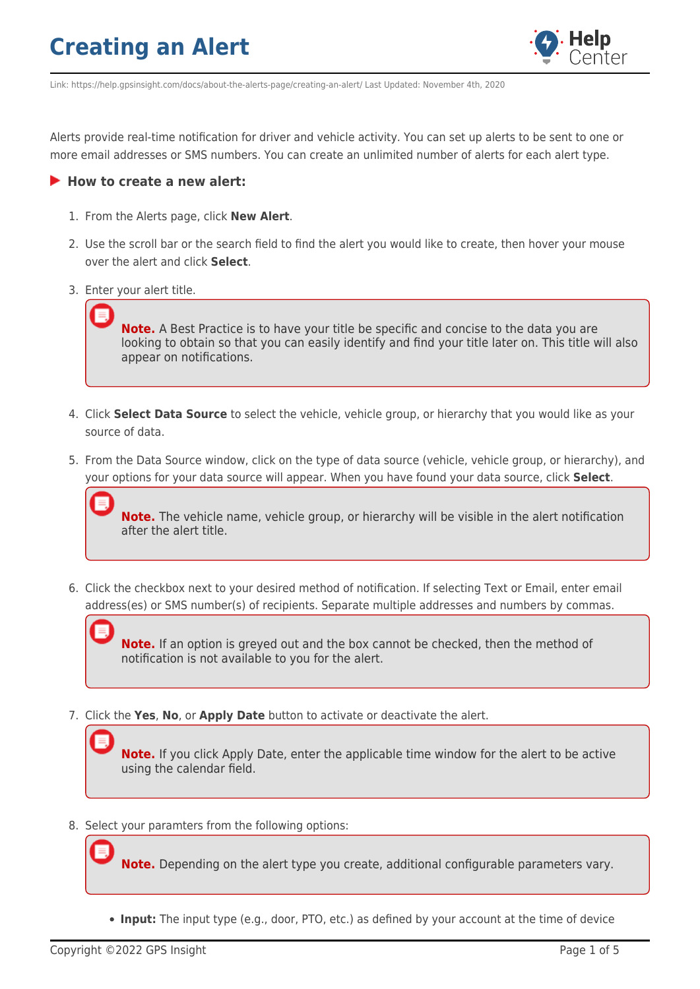

Link: https://help.gpsinsight.com/docs/about-the-alerts-page/creating-an-alert/ Last Updated: November 4th, 2020

Alerts provide real-time notification for driver and vehicle activity. You can set up alerts to be sent to one or more email addresses or SMS numbers. You can create an unlimited number of alerts for each alert type.

#### **How to create a new alert:**

- 1. From the Alerts page, click **New Alert**.
- 2. Use the scroll bar or the search field to find the alert you would like to create, then hover your mouse over the alert and click **Select**.
- 3. Enter your alert title.

**Note.** A Best Practice is to have your title be specific and concise to the data you are looking to obtain so that you can easily identify and find your title later on. This title will also appear on notifications.

- 4. Click **Select Data Source** to select the vehicle, vehicle group, or hierarchy that you would like as your source of data.
- 5. From the Data Source window, click on the type of data source (vehicle, vehicle group, or hierarchy), and your options for your data source will appear. When you have found your data source, click **Select**.

**Note.** The vehicle name, vehicle group, or hierarchy will be visible in the alert notification after the alert title.

6. Click the checkbox next to your desired method of notification. If selecting Text or Email, enter email address(es) or SMS number(s) of recipients. Separate multiple addresses and numbers by commas.

**Note.** If an option is greyed out and the box cannot be checked, then the method of notification is not available to you for the alert.

7. Click the **Yes**, **No**, or **Apply Date** button to activate or deactivate the alert.

**Note.** If you click Apply Date, enter the applicable time window for the alert to be active using the calendar field.

8. Select your paramters from the following options:

**Note.** Depending on the alert type you create, additional configurable parameters vary.

**Input:** The input type (e.g., door, PTO, etc.) as defined by your account at the time of device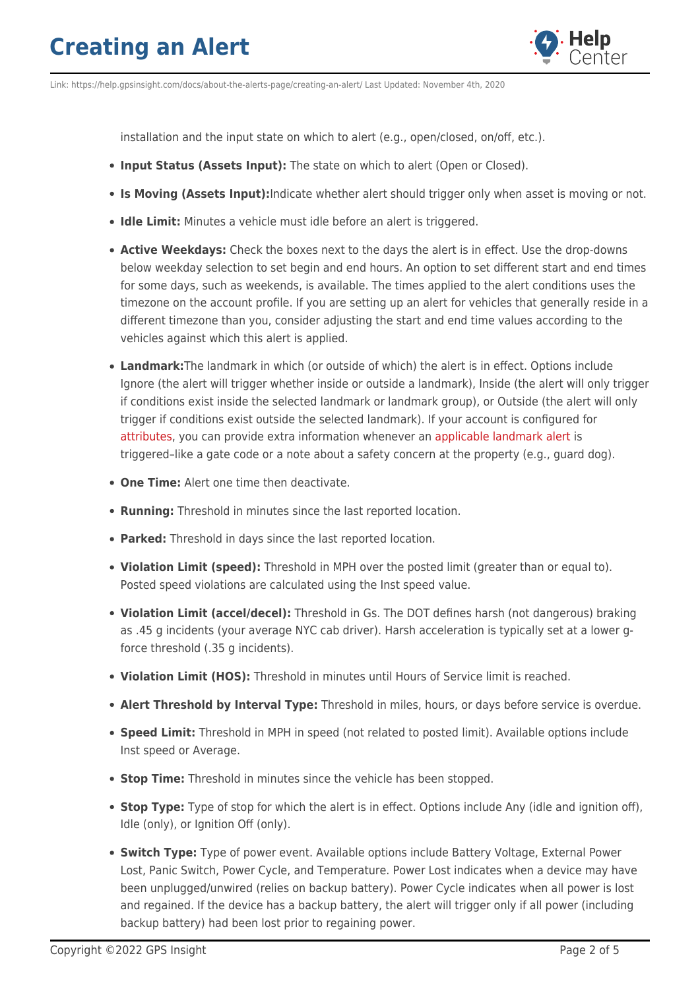

Link: https://help.gpsinsight.com/docs/about-the-alerts-page/creating-an-alert/ Last Updated: November 4th, 2020

installation and the input state on which to alert (e.g., open/closed, on/off, etc.).

- **Input Status (Assets Input):** The state on which to alert (Open or Closed).
- **Is Moving (Assets Input):**Indicate whether alert should trigger only when asset is moving or not.
- **Idle Limit:** Minutes a vehicle must idle before an alert is triggered.
- **Active Weekdays:** Check the boxes next to the days the alert is in effect. Use the drop-downs below weekday selection to set begin and end hours. An option to set different start and end times for some days, such as weekends, is available. The times applied to the alert conditions uses the timezone on the account profile. If you are setting up an alert for vehicles that generally reside in a different timezone than you, consider adjusting the start and end time values according to the vehicles against which this alert is applied.
- **Landmark:**The landmark in which (or outside of which) the alert is in effect. Options include Ignore (the alert will trigger whether inside or outside a landmark), Inside (the alert will only trigger if conditions exist inside the selected landmark or landmark group), or Outside (the alert will only trigger if conditions exist outside the selected landmark). If your account is configured for [attributes](https://help.gpsinsight.com/docs/about-attributes/), you can provide extra information whenever an [applicable landmark alert](https://help.gpsinsight.com/docs/about-attributes/using-landmark-attributes/) is triggered–like a gate code or a note about a safety concern at the property (e.g., guard dog).
- **One Time:** Alert one time then deactivate.
- **Running:** Threshold in minutes since the last reported location.
- **Parked:** Threshold in days since the last reported location.
- **Violation Limit (speed):** Threshold in MPH over the posted limit (greater than or equal to). Posted speed violations are calculated using the Inst speed value.
- **Violation Limit (accel/decel):** Threshold in Gs. The DOT defines harsh (not dangerous) braking as .45 g incidents (your average NYC cab driver). Harsh acceleration is typically set at a lower gforce threshold (.35 g incidents).
- **Violation Limit (HOS):** Threshold in minutes until Hours of Service limit is reached.
- **Alert Threshold by Interval Type:** Threshold in miles, hours, or days before service is overdue.
- **Speed Limit:** Threshold in MPH in speed (not related to posted limit). Available options include Inst speed or Average.
- **Stop Time:** Threshold in minutes since the vehicle has been stopped.
- **Stop Type:** Type of stop for which the alert is in effect. Options include Any (idle and ignition off), Idle (only), or Ignition Off (only).
- **Switch Type:** Type of power event. Available options include Battery Voltage, External Power Lost, Panic Switch, Power Cycle, and Temperature. Power Lost indicates when a device may have been unplugged/unwired (relies on backup battery). Power Cycle indicates when all power is lost and regained. If the device has a backup battery, the alert will trigger only if all power (including backup battery) had been lost prior to regaining power.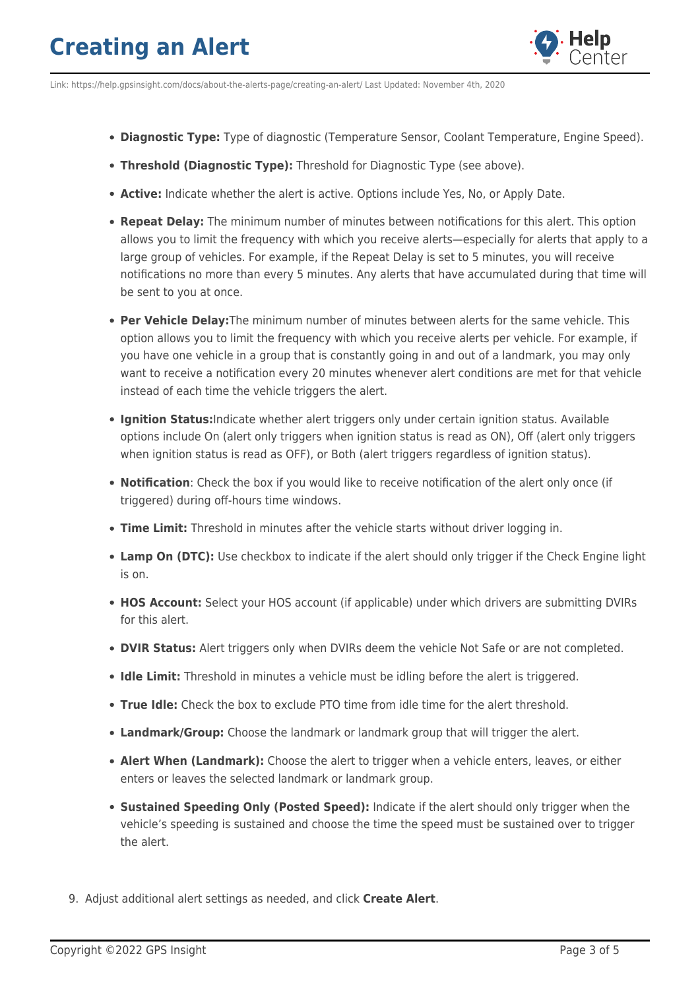

Link: https://help.gpsinsight.com/docs/about-the-alerts-page/creating-an-alert/ Last Updated: November 4th, 2020

- **Diagnostic Type:** Type of diagnostic (Temperature Sensor, Coolant Temperature, Engine Speed).
- **Threshold (Diagnostic Type):** Threshold for Diagnostic Type (see above).
- **Active:** Indicate whether the alert is active. Options include Yes, No, or Apply Date.
- **Repeat Delay:** The minimum number of minutes between notifications for this alert. This option allows you to limit the frequency with which you receive alerts—especially for alerts that apply to a large group of vehicles. For example, if the Repeat Delay is set to 5 minutes, you will receive notifications no more than every 5 minutes. Any alerts that have accumulated during that time will be sent to you at once.
- **Per Vehicle Delay:**The minimum number of minutes between alerts for the same vehicle. This option allows you to limit the frequency with which you receive alerts per vehicle. For example, if you have one vehicle in a group that is constantly going in and out of a landmark, you may only want to receive a notification every 20 minutes whenever alert conditions are met for that vehicle instead of each time the vehicle triggers the alert.
- **Ignition Status:**Indicate whether alert triggers only under certain ignition status. Available options include On (alert only triggers when ignition status is read as ON), Off (alert only triggers when ignition status is read as OFF), or Both (alert triggers regardless of ignition status).
- **Notification**: Check the box if you would like to receive notification of the alert only once (if triggered) during off-hours time windows.
- **Time Limit:** Threshold in minutes after the vehicle starts without driver logging in.
- **Lamp On (DTC):** Use checkbox to indicate if the alert should only trigger if the Check Engine light is on.
- **HOS Account:** Select your HOS account (if applicable) under which drivers are submitting DVIRs for this alert.
- **DVIR Status:** Alert triggers only when DVIRs deem the vehicle Not Safe or are not completed.
- **Idle Limit:** Threshold in minutes a vehicle must be idling before the alert is triggered.
- **True Idle:** Check the box to exclude PTO time from idle time for the alert threshold.
- **Landmark/Group:** Choose the landmark or landmark group that will trigger the alert.
- **Alert When (Landmark):** Choose the alert to trigger when a vehicle enters, leaves, or either enters or leaves the selected landmark or landmark group.
- **Sustained Speeding Only (Posted Speed):** Indicate if the alert should only trigger when the vehicle's speeding is sustained and choose the time the speed must be sustained over to trigger the alert.
- 9. Adjust additional alert settings as needed, and click **Create Alert**.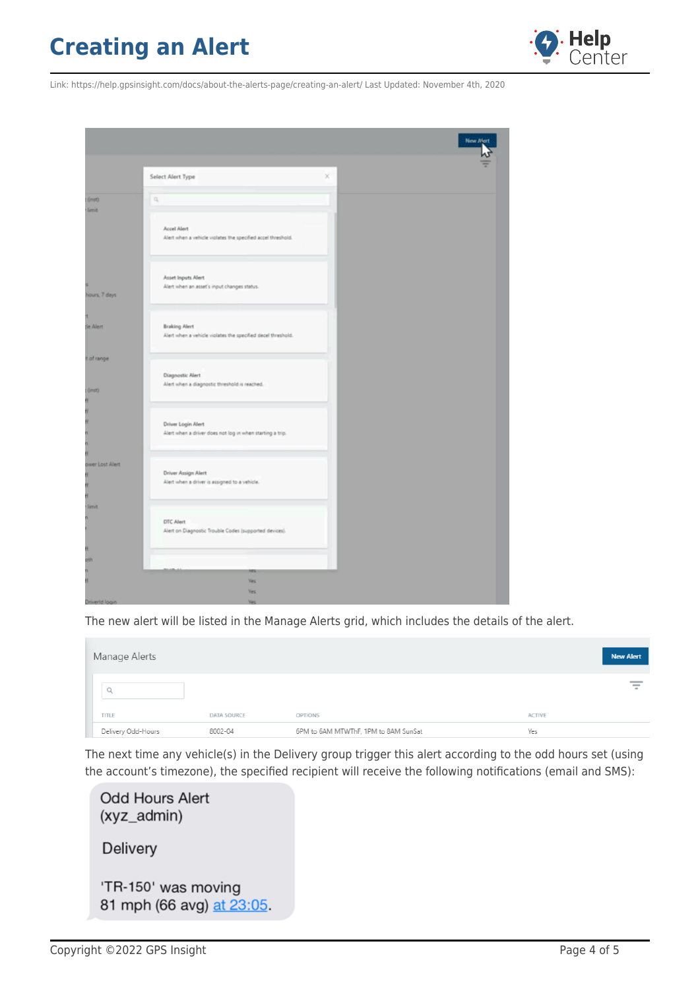

Link: https://help.gpsinsight.com/docs/about-the-alerts-page/creating-an-alert/ Last Updated: November 4th, 2020

|                  | Select Alert Type                                                    | × |
|------------------|----------------------------------------------------------------------|---|
|                  |                                                                      |   |
| (3, 0)           | l q                                                                  |   |
| <b>limit</b>     |                                                                      |   |
|                  |                                                                      |   |
|                  | Accel Alert                                                          |   |
|                  | Alert when a vehicle violates the specified accel threshold.         |   |
|                  |                                                                      |   |
|                  |                                                                      |   |
|                  |                                                                      |   |
|                  | Asset Inputs Alert                                                   |   |
|                  | Alert when an asset's input changes status.                          |   |
| hours, 7 days    |                                                                      |   |
|                  |                                                                      |   |
|                  |                                                                      |   |
| de Alert         | <b>Braking Alert</b>                                                 |   |
|                  | Alert when a vehicle violates the specified decel threshold.         |   |
|                  |                                                                      |   |
|                  |                                                                      |   |
| t of range       |                                                                      |   |
|                  | Diagnostic Alert                                                     |   |
|                  | Alert when a diagnostic threshold is reached.                        |   |
| (0.01)           |                                                                      |   |
|                  |                                                                      |   |
| H.               |                                                                      |   |
| H                | Driver Login Alert                                                   |   |
|                  | Alert when a driver does not log in when starting a trip.            |   |
|                  |                                                                      |   |
|                  |                                                                      |   |
|                  |                                                                      |   |
| ower Lost Allert |                                                                      |   |
|                  | Driver Assign Alert<br>Alert when a driver is assigned to a vehicle. |   |
|                  |                                                                      |   |
|                  |                                                                      |   |
| <b>family</b>    |                                                                      |   |
| n                |                                                                      |   |
|                  | DTC Alert                                                            |   |
|                  | Alert on Diagnostic Trouble Codes (supported devices).               |   |
|                  |                                                                      |   |
| ñ                |                                                                      |   |
| oth              |                                                                      |   |
|                  | m                                                                    |   |
|                  | Yes.                                                                 |   |
|                  | Yes.                                                                 |   |
| DriverId login   | <b>Yes</b>                                                           |   |

The new alert will be listed in the Manage Alerts grid, which includes the details of the alert.

| Manage Alerts      |             |                                      |               | <b>New Alert</b> |
|--------------------|-------------|--------------------------------------|---------------|------------------|
|                    |             |                                      |               | ╤                |
| TITLE              | DATA SOURCE | <b>OPTIONS</b>                       | <b>ACTIVE</b> |                  |
| Delivery Odd-Hours | 8002-04     | 6PM to 6AM MTWThF, 1PM to 8AM SunSat | Yes           |                  |

The next time any vehicle(s) in the Delivery group trigger this alert according to the odd hours set (using the account's timezone), the specified recipient will receive the following notifications (email and SMS):

| <b>Odd Hours Alert</b><br>(xyz_admin)            |
|--------------------------------------------------|
| <b>Delivery</b>                                  |
| 'TR-150' was moving<br>81 mph (66 avg) at 23:05. |